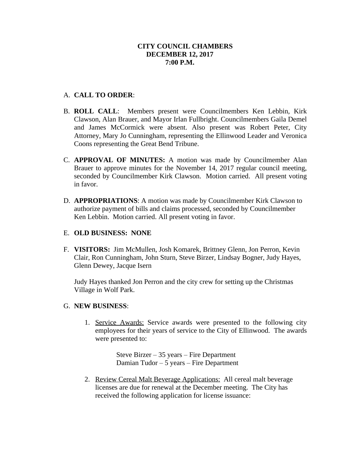## A. **CALL TO ORDER**:

- B. **ROLL CALL**: Members present were Councilmembers Ken Lebbin, Kirk Clawson, Alan Brauer, and Mayor Irlan Fullbright. Councilmembers Gaila Demel and James McCormick were absent. Also present was Robert Peter, City Attorney, Mary Jo Cunningham, representing the Ellinwood Leader and Veronica Coons representing the Great Bend Tribune.
- C. **APPROVAL OF MINUTES:** A motion was made by Councilmember Alan Brauer to approve minutes for the November 14, 2017 regular council meeting, seconded by Councilmember Kirk Clawson. Motion carried. All present voting in favor.
- D. **APPROPRIATIONS**: A motion was made by Councilmember Kirk Clawson to authorize payment of bills and claims processed, seconded by Councilmember Ken Lebbin. Motion carried. All present voting in favor.

## E. **OLD BUSINESS: NONE**

F. **VISITORS:** Jim McMullen, Josh Komarek, Brittney Glenn, Jon Perron, Kevin Clair, Ron Cunningham, John Sturn, Steve Birzer, Lindsay Bogner, Judy Hayes, Glenn Dewey, Jacque Isern

Judy Hayes thanked Jon Perron and the city crew for setting up the Christmas Village in Wolf Park.

### G. **NEW BUSINESS**:

1. Service Awards: Service awards were presented to the following city employees for their years of service to the City of Ellinwood. The awards were presented to:

> Steve Birzer – 35 years – Fire Department Damian Tudor – 5 years – Fire Department

2. Review Cereal Malt Beverage Applications: All cereal malt beverage licenses are due for renewal at the December meeting. The City has received the following application for license issuance: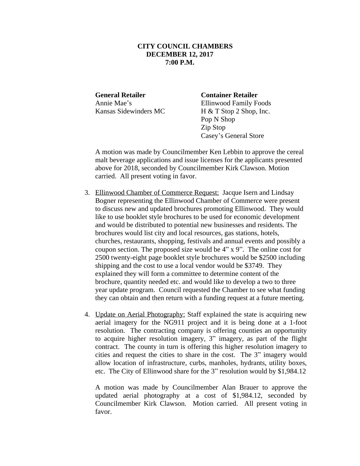**General Retailer Container Retailer**

Annie Mae's Ellinwood Family Foods Kansas Sidewinders MC H & T Stop 2 Shop, Inc. Pop N Shop Zip Stop Casey's General Store

A motion was made by Councilmember Ken Lebbin to approve the cereal malt beverage applications and issue licenses for the applicants presented above for 2018, seconded by Councilmember Kirk Clawson. Motion carried. All present voting in favor.

- 3. Ellinwood Chamber of Commerce Request: Jacque Isern and Lindsay Bogner representing the Ellinwood Chamber of Commerce were present to discuss new and updated brochures promoting Ellinwood. They would like to use booklet style brochures to be used for economic development and would be distributed to potential new businesses and residents. The brochures would list city and local resources, gas stations, hotels, churches, restaurants, shopping, festivals and annual events and possibly a coupon section. The proposed size would be 4" x 9". The online cost for 2500 twenty-eight page booklet style brochures would be \$2500 including shipping and the cost to use a local vendor would be \$3749. They explained they will form a committee to determine content of the brochure, quantity needed etc. and would like to develop a two to three year update program. Council requested the Chamber to see what funding they can obtain and then return with a funding request at a future meeting.
- 4. Update on Aerial Photography: Staff explained the state is acquiring new aerial imagery for the NG911 project and it is being done at a 1-foot resolution. The contracting company is offering counties an opportunity to acquire higher resolution imagery, 3" imagery, as part of the flight contract. The county in turn is offering this higher resolution imagery to cities and request the cities to share in the cost. The 3" imagery would allow location of infrastructure, curbs, manholes, hydrants, utility boxes, etc. The City of Ellinwood share for the 3" resolution would by \$1,984.12

A motion was made by Councilmember Alan Brauer to approve the updated aerial photography at a cost of \$1,984.12, seconded by Councilmember Kirk Clawson. Motion carried. All present voting in favor.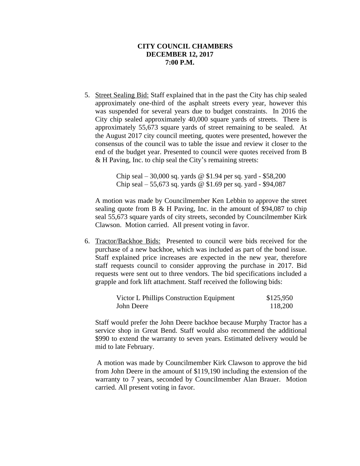5. Street Sealing Bid: Staff explained that in the past the City has chip sealed approximately one-third of the asphalt streets every year, however this was suspended for several years due to budget constraints. In 2016 the City chip sealed approximately 40,000 square yards of streets. There is approximately 55,673 square yards of street remaining to be sealed. At the August 2017 city council meeting, quotes were presented, however the consensus of the council was to table the issue and review it closer to the end of the budget year. Presented to council were quotes received from B & H Paving, Inc. to chip seal the City's remaining streets:

> Chip seal – 30,000 sq. yards @ \$1.94 per sq. yard - \$58,200 Chip seal – 55,673 sq. yards @ \$1.69 per sq. yard - \$94,087

A motion was made by Councilmember Ken Lebbin to approve the street sealing quote from B & H Paving, Inc. in the amount of \$94,087 to chip seal 55,673 square yards of city streets, seconded by Councilmember Kirk Clawson. Motion carried. All present voting in favor.

6. Tractor/Backhoe Bids: Presented to council were bids received for the purchase of a new backhoe, which was included as part of the bond issue. Staff explained price increases are expected in the new year, therefore staff requests council to consider approving the purchase in 2017. Bid requests were sent out to three vendors. The bid specifications included a grapple and fork lift attachment. Staff received the following bids:

| Victor L Phillips Construction Equipment | \$125,950 |
|------------------------------------------|-----------|
| John Deere                               | 118,200   |

Staff would prefer the John Deere backhoe because Murphy Tractor has a service shop in Great Bend. Staff would also recommend the additional \$990 to extend the warranty to seven years. Estimated delivery would be mid to late February.

A motion was made by Councilmember Kirk Clawson to approve the bid from John Deere in the amount of \$119,190 including the extension of the warranty to 7 years, seconded by Councilmember Alan Brauer. Motion carried. All present voting in favor.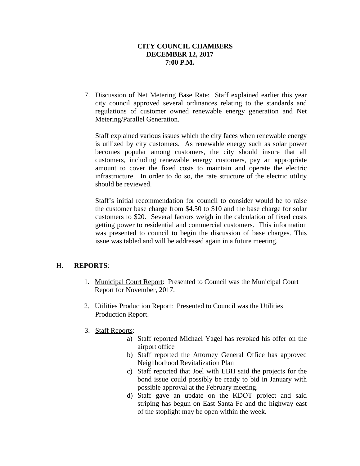7. Discussion of Net Metering Base Rate: Staff explained earlier this year city council approved several ordinances relating to the standards and regulations of customer owned renewable energy generation and Net Metering/Parallel Generation.

Staff explained various issues which the city faces when renewable energy is utilized by city customers. As renewable energy such as solar power becomes popular among customers, the city should insure that all customers, including renewable energy customers, pay an appropriate amount to cover the fixed costs to maintain and operate the electric infrastructure. In order to do so, the rate structure of the electric utility should be reviewed.

Staff's initial recommendation for council to consider would be to raise the customer base charge from \$4.50 to \$10 and the base charge for solar customers to \$20. Several factors weigh in the calculation of fixed costs getting power to residential and commercial customers. This information was presented to council to begin the discussion of base charges. This issue was tabled and will be addressed again in a future meeting.

# H. **REPORTS**:

- 1. Municipal Court Report: Presented to Council was the Municipal Court Report for November, 2017.
- 2. Utilities Production Report: Presented to Council was the Utilities Production Report.
- 3. Staff Reports:
	- a) Staff reported Michael Yagel has revoked his offer on the airport office
	- b) Staff reported the Attorney General Office has approved Neighborhood Revitalization Plan
	- c) Staff reported that Joel with EBH said the projects for the bond issue could possibly be ready to bid in January with possible approval at the February meeting.
	- d) Staff gave an update on the KDOT project and said striping has begun on East Santa Fe and the highway east of the stoplight may be open within the week.